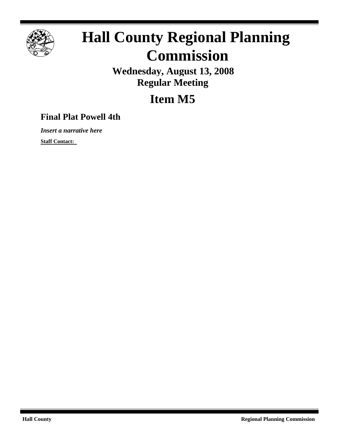

# **Hall County Regional Planning Commission**

**Wednesday, August 13, 2008 Regular Meeting**

**Item M5**

## **Final Plat Powell 4th**

*Insert a narrative here*

**Staff Contact:**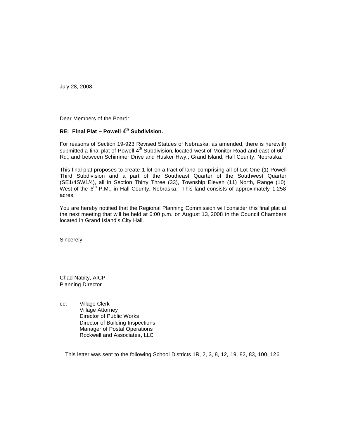July 28, 2008

Dear Members of the Board:

## **RE: Final Plat – Powell 4th Subdivision.**

For reasons of Section 19-923 Revised Statues of Nebraska, as amended, there is herewith submitted a final plat of Powell  $4^{th}$  Subdivision, located west of Monitor Road and east of 60<sup>th</sup> Rd., and between Schimmer Drive and Husker Hwy., Grand Island, Hall County, Nebraska.

This final plat proposes to create 1 lot on a tract of land comprising all of Lot One (1) Powell Third Subdivision and a part of the Southeast Quarter of the Southwest Quarter (SE1/4SW1/4), all in Section Thirty Three (33), Township Eleven (11) North, Range (10) West of the  $6^{th}$  P.M., in Hall County, Nebraska. This land consists of approximately 1.258 acres.

You are hereby notified that the Regional Planning Commission will consider this final plat at the next meeting that will be held at 6:00 p.m. on August 13, 2008 in the Council Chambers located in Grand Island's City Hall.

Sincerely,

Chad Nabity, AICP Planning Director

cc: Village Clerk Village Attorney Director of Public Works Director of Building Inspections Manager of Postal Operations Rockwell and Associates, LLC

This letter was sent to the following School Districts 1R, 2, 3, 8, 12, 19, 82, 83, 100, 126.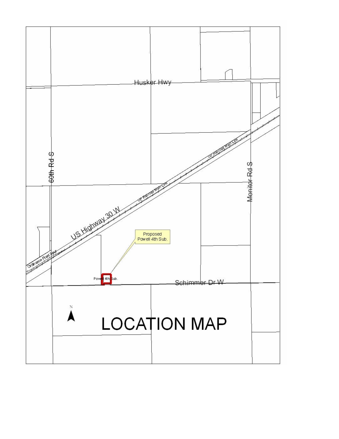